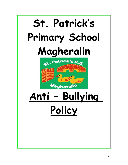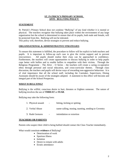# **ST. PATRICK'S PRIMARY SCHOOL ANTI- BULLYING POLICY**

# **STATEMENT**

St. Patrick's Primary School does not condone "Bullying" of any kind whether it is mental or physical. The teachers recognize that bullying takes place within the environment of any large organization but the school is determined to ensure that all its pupils, both male and female, will be protected from this. Bullying will not be tolerated.

This policy will, therefore, devise strategies to prevent and reduce bullying.

#### **ORGANISATIONAL & ADMINISTRATIVE STRATEGIES**

To ensure this statement is fulfilled, the procedure to follow will be explicit to both teachers and pupils. It is important to follow-up each case to give the victim support and to prevent reoccurrence. All pupils should realise their class can be approached in confidence. Furthermore, the teachers will create opportunities to discuss bullying in order to help pupils cope better with bullies and to enable bullies to empathise with their victims. Through the Religious Programme – The Alive – O Series – the teachers will create a caring co-operative ethos through personal and social education, and cross-curricular themes. Through class discussion, the teachers and pupils will devise ways of rewarding non-aggressive behaviour. It is of vital importance that all the school staff, including the Caretaker, Supervisors, Dining Assistants should be aware of the strategies adopted. A statement to this effect will become and integral part of the School Prospectus.

#### **WHAT IS BULLYING?**

Bullying is the willful, conscious desire to hurt, threaten or frighten someone. The nature of bullying involves the use of **THREAT** or **FEAR**.

Bullying may take the following form:

- 1. Physical assault hitting, kicking or spitting
- 2. Verbal Abuse name-calling, teasing, taunting, sending to Coventry
- 3. Rude Gestures intimidation or extortion

#### **TEACHERS OR PARENTS**

Parents who suspect their child is being bullied should contact the Class Teacher immediately.

What would constitute **evidence** of Bullying?

- Deterioration of work
- Spurious illness
- Isolation
- Desire to remain with adults
- Erratic attendance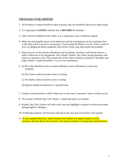# **STRATEGIES TO BE ADOPTED**

- 1. All incidents or reports should be taken seriously and care should be taken not to label pupils.
- 2. It is important to **LISTEN** carefully and to **RECORD** all incidents.
- 3. Offer concrete feedback to the victim, as it is important to give immediate support.
- 4. Make the unacceptable nature of the behaviour and the consequences of any repetition clear to the bully and if it persists to the parents. Encouraging the Bully to see the victim's point of view, by helping the Bully empathise with his/her victim, may help resolve the problem.
- 5. Patrol all areas of the school at Breaktime and Lunchtime. Auxiliary staff should observe a pupil's behaviour in the playground. They should 'shadow' the victim, noting playmates and ensure no situations arise. They should note if the child is isolated, excluded or friendless and judge whether 'rough and tumble' is a cover for intimidation.
- 6. (a) Peer talks should be used to counter bullying as such could help to resolve any problems.
	- (b) The victim could record the events in writing
	- (c) The Bully could record the events in writing
	- (d) Reports should be retained for a specified time.
- 7. Teachers should monitor a child's behaviour in class and, if necessary, keep a written record
- 8. The teacher on Break Duty will 'shadow' a pupil and report on incidents
- 9. Initially, the Class Teacher will talk to the class and highlight a situation for discussion either during English or Religion
- 10. If Bullying continues, the Principal will talk to the class and, if necessary, their parents
- 11. If unacceptable behaviour, which threatens the welfare of a pupil or pupils or staff, continues, then the Board of Governors will adopt procedures for Suspension and Expulsion.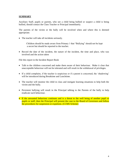# **SUMMARY**

Auxiliary Staff, pupils or parents, who see a child being bullied or suspect a child is being bullied, should contact the Class Teacher or Principal immediately.

The parents of the victim or the bully will be involved when and where this is deemed appropriate.

The teacher will take all incidents seriously.

Children should be made aware from Primary 1 that "Bullying" should not be kept a secret but should be reported to the teacher.

 Record the date of the incident, the nature of the incident, the time and place, who was involved and the action taken

File this report in the Incident Report Book

- Talk to the children concerned and make them aware of their behaviour. Make it clear that unacceptable behaviour will not be tolerated and will result in the withdrawal of privileges.
- If a child complains, if the teacher is suspicious or if a parent is concerned, the 'shadowing' will be introduced during Breaktime and Lunchtime.
- The teacher will monitor the child in class and instigate learning situations to help both the victim and the bully.
- Persistent bullying will result in the Principal talking to the Parents of the bully to help eradicate such behaviour.
- If the unwanted behaviour continues and is a threat to the well being of another pupil or pupils or staff, then the Principal will present the case to the Board of Governors and follow the procedures for suspension or expulsion. (CCMS Scheme)